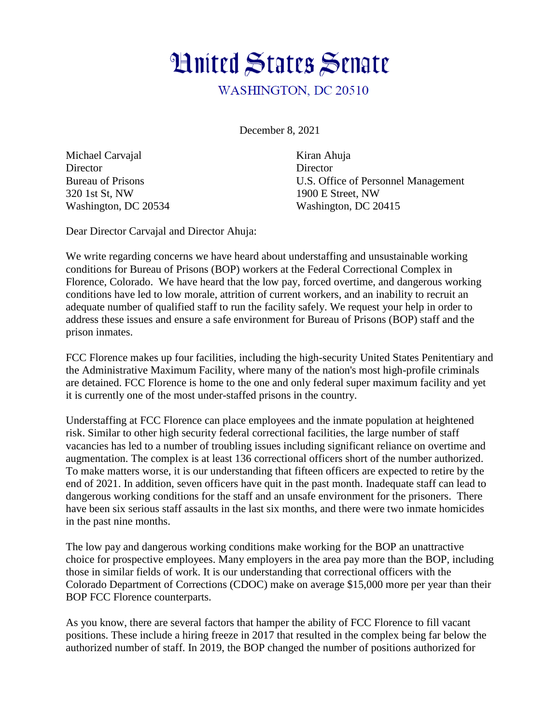

December 8, 2021

Michael Carvajal Kiran Ahuja Director Director 320 1st St, NW 1900 E Street, NW

Bureau of Prisons U.S. Office of Personnel Management Washington, DC 20534 Washington, DC 20415

Dear Director Carvajal and Director Ahuja:

We write regarding concerns we have heard about understaffing and unsustainable working conditions for Bureau of Prisons (BOP) workers at the Federal Correctional Complex in Florence, Colorado. We have heard that the low pay, forced overtime, and dangerous working conditions have led to low morale, attrition of current workers, and an inability to recruit an adequate number of qualified staff to run the facility safely. We request your help in order to address these issues and ensure a safe environment for Bureau of Prisons (BOP) staff and the prison inmates.

FCC Florence makes up four facilities, including the high-security United States Penitentiary and the Administrative Maximum Facility, where many of the nation's most high-profile criminals are detained. FCC Florence is home to the one and only federal super maximum facility and yet it is currently one of the most under-staffed prisons in the country.

Understaffing at FCC Florence can place employees and the inmate population at heightened risk. Similar to other high security federal correctional facilities, the large number of staff vacancies has led to a number of troubling issues including significant reliance on overtime and augmentation. The complex is at least 136 correctional officers short of the number authorized. To make matters worse, it is our understanding that fifteen officers are expected to retire by the end of 2021. In addition, seven officers have quit in the past month. Inadequate staff can lead to dangerous working conditions for the staff and an unsafe environment for the prisoners. There have been six serious staff assaults in the last six months, and there were two inmate homicides in the past nine months.

The low pay and dangerous working conditions make working for the BOP an unattractive choice for prospective employees. Many employers in the area pay more than the BOP, including those in similar fields of work. It is our understanding that correctional officers with the Colorado Department of Corrections (CDOC) make on average \$15,000 more per year than their BOP FCC Florence counterparts.

As you know, there are several factors that hamper the ability of FCC Florence to fill vacant positions. These include a hiring freeze in 2017 that resulted in the complex being far below the authorized number of staff. In 2019, the BOP changed the number of positions authorized for